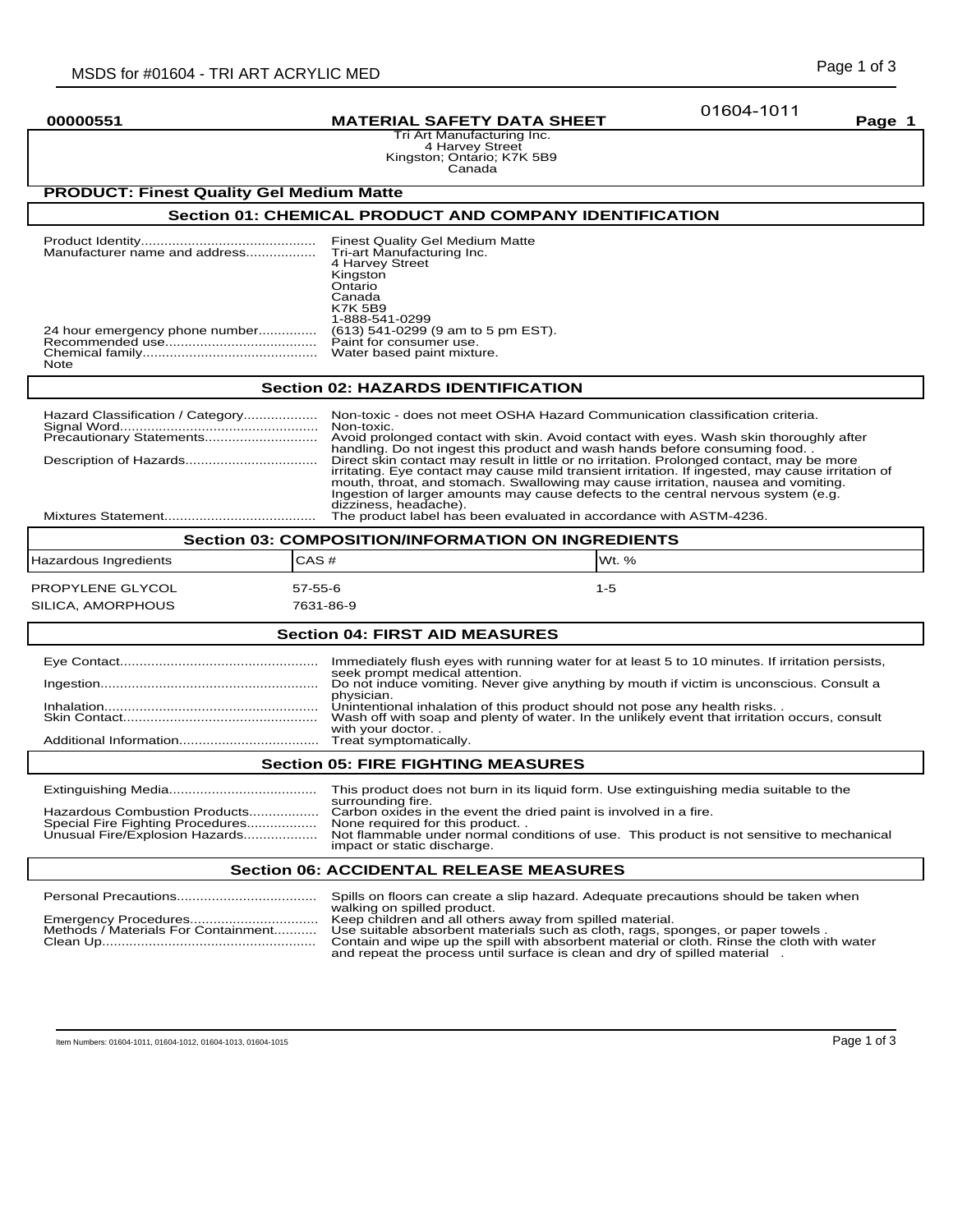01604-1011

# **00000551 MATERIAL SAFETY DATA SHEET Page 1**

Tri Art Manufacturing Inc. 4 Harvey Street Kingston; Ontario; K7K 5B9 Canada

# **PRODUCT: Finest Quality Gel Medium Matte**

# **Section 01: CHEMICAL PRODUCT AND COMPANY IDENTIFICATION**

|                                        | <b>Finest Quality Gel Medium Matte</b><br>4 Harvey Street<br>Kingston<br>Ontario<br>Canada<br><b>K7K 5B9</b><br>1-888-541-0299 |
|----------------------------------------|--------------------------------------------------------------------------------------------------------------------------------|
| 24 hour emergency phone number<br>Note | (613) 541-0299 (9 am to 5 pm EST).<br>Paint for consumer use.<br>Water based paint mixture.                                    |

## **Section 02: HAZARDS IDENTIFICATION**

| Non-toxic - does not meet OSHA Hazard Communication classification criteria.                      |
|---------------------------------------------------------------------------------------------------|
| Avoid prolonged contact with skin. Avoid contact with eyes. Wash skin thoroughly after            |
| handling. Do not ingest this product and wash hands before consuming food                         |
| Direct skin contact may result in little or no irritation. Prolonged contact, may be more         |
| irritating. Eye contact may cause mild transient irritation. If ingested, may cause irritation of |
| mouth, throat, and stomach. Swallowing may cause irritation, nausea and vomiting.                 |
| Ingestion of larger amounts may cause defects to the central nervous system (e.g.                 |
| dizziness, headache).                                                                             |
| The product label has been evaluated in accordance with ASTM-4236.                                |

| <b>Section 03: COMPOSITION/INFORMATION ON INGREDIENTS</b> |               |          |  |
|-----------------------------------------------------------|---------------|----------|--|
| Hazardous Ingredients                                     | ICAS #        | IWt. $%$ |  |
| PROPYLENE GLYCOL                                          | $57 - 55 - 6$ | $1 - 5$  |  |
| SILICA, AMORPHOUS                                         | 7631-86-9     |          |  |

## **Section 04: FIRST AID MEASURES**

| Immediately flush eyes with running water for at least 5 to 10 minutes. If irritation persists, |
|-------------------------------------------------------------------------------------------------|
| seek prompt medical attention.                                                                  |
| Do not induce vomiting. Never give anything by mouth if victim is unconscious. Consult a        |
| physician.                                                                                      |
| Unintentional inhalation of this product should not pose any health risks                       |
| Wash off with soap and plenty of water. In the unlikely event that irritation occurs, consult   |
| with your doctor                                                                                |
| Treat symptomatically.                                                                          |
|                                                                                                 |

## **Section 05: FIRE FIGHTING MEASURES**

|                                                                   | This product does not burn in its liquid form. Use extinguishing media suitable to the<br>surrounding fire.              |
|-------------------------------------------------------------------|--------------------------------------------------------------------------------------------------------------------------|
| Hazardous Combustion Products<br>Special Fire Fighting Procedures | Carbon oxides in the event the dried paint is involved in a fire.<br>None required for this product                      |
| Unusual Fire/Explosion Hazards                                    | Not flammable under normal conditions of use. This product is not sensitive to mechanical<br>impact or static discharge. |
|                                                                   |                                                                                                                          |

## **Section 06: ACCIDENTAL RELEASE MEASURES**

|                                     | Spills on floors can create a slip hazard. Adequate precautions should be taken when<br>walking on spilled product.                                                           |
|-------------------------------------|-------------------------------------------------------------------------------------------------------------------------------------------------------------------------------|
|                                     | Keep children and all others away from spilled material.                                                                                                                      |
| Methods / Materials For Containment | Use suitable absorbent materials such as cloth, rags, sponges, or paper towels.<br>Contain and wipe up the spill with absorbent material or cloth. Rinse the cloth with water |
|                                     | and repeat the process until surface is clean and dry of spilled material                                                                                                     |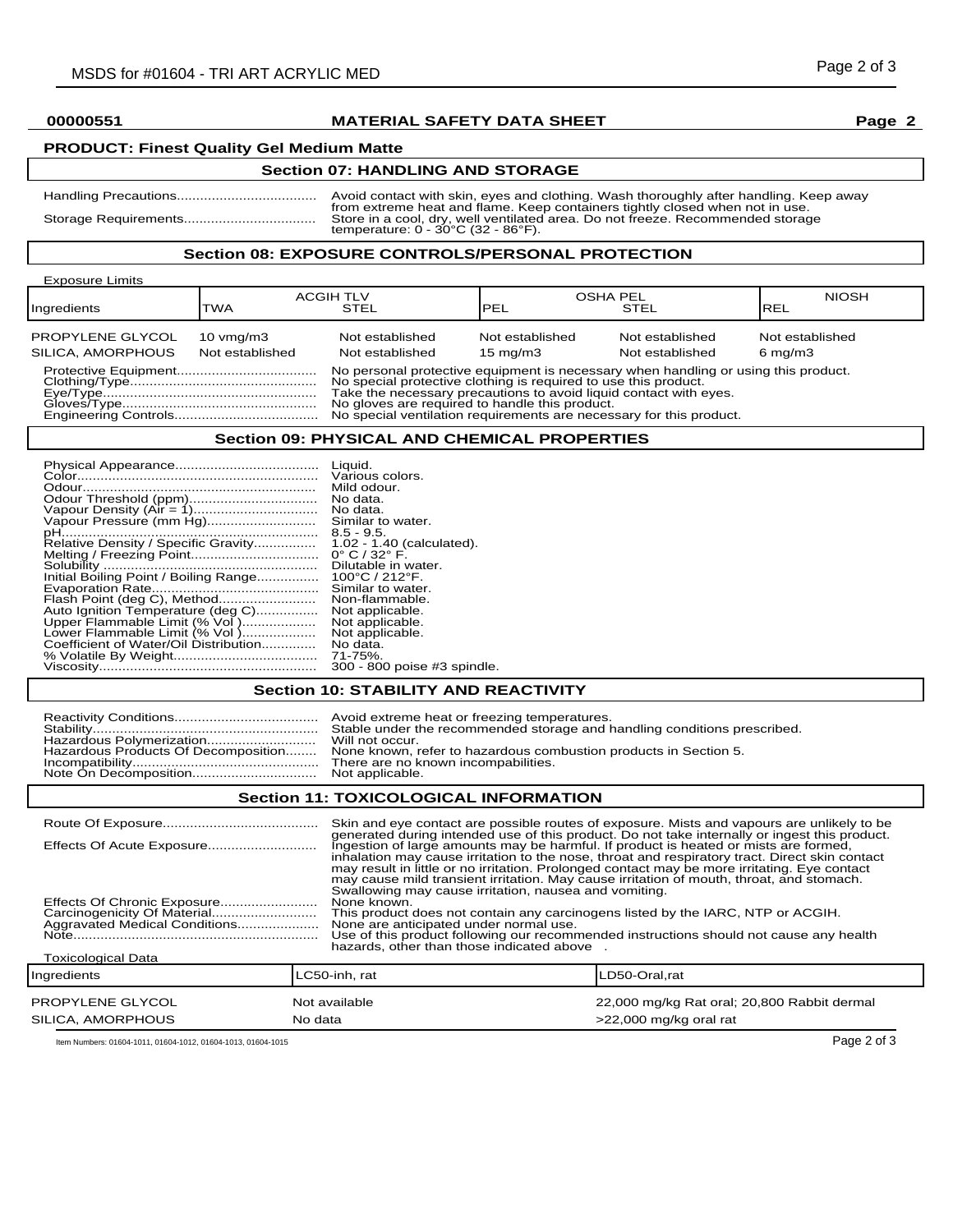# **00000551 MATERIAL SAFETY DATA SHEET Page 2**

# **PRODUCT: Finest Quality Gel Medium Matte**

# **Section 07: HANDLING AND STORAGE**

| Avoid contact with skin, eyes and clothing. Wash thoroughly after handling. Keep away                                                                          |
|----------------------------------------------------------------------------------------------------------------------------------------------------------------|
| from extreme heat and flame. Keep containers tightly closed when not in use.<br>Store in a cool, dry, well ventilated area. Do not freeze. Recommended storage |
| temperature: $0 - 30^{\circ}$ C (32 - 86 $^{\circ}$ F).                                                                                                        |

## **Section 08: EXPOSURE CONTROLS/PERSONAL PROTECTION**

| <b>Exposure Limits</b>                |                                         |                                                                                                                                                                                                                                                                                                                                                     |                                      |                                    |                                       |
|---------------------------------------|-----------------------------------------|-----------------------------------------------------------------------------------------------------------------------------------------------------------------------------------------------------------------------------------------------------------------------------------------------------------------------------------------------------|--------------------------------------|------------------------------------|---------------------------------------|
| Ingredients                           | TWA                                     | <b>ACGIH TLV</b><br>STEL                                                                                                                                                                                                                                                                                                                            | <b>OSHA PEL</b><br><b>PEL</b>        | <b>STEL</b>                        | <b>NIOSH</b><br><b>REL</b>            |
| PROPYLENE GLYCOL<br>SILICA, AMORPHOUS | $10 \text{ vmq/m}$ 3<br>Not established | Not established<br>Not established                                                                                                                                                                                                                                                                                                                  | Not established<br>$15 \text{ mg/m}$ | Not established<br>Not established | Not established<br>$6 \text{ mg/m}$ 3 |
|                                       |                                         | No personal protective equipment is necessary when handling or using this product.<br>No special protective clothing is required to use this product.<br>Take the necessary precautions to avoid liquid contact with eyes.<br>No gloves are required to handle this product.<br>No special ventilation requirements are necessary for this product. |                                      |                                    |                                       |

### **Section 09: PHYSICAL AND CHEMICAL PROPERTIES**

|                                       | Liquid.                             |
|---------------------------------------|-------------------------------------|
|                                       | Various colors.                     |
|                                       | Mild odour.                         |
| Odour Threshold (ppm)                 | No data.                            |
|                                       | No data.                            |
| Vapour Pressure (mm Hg)               | Similar to water.                   |
|                                       | $8.5 - 9.5$                         |
| Relative Density / Specific Gravity   | 1.02 - 1.40 (calculated).           |
|                                       | $0^{\circ}$ C / 32 $^{\circ}$ F.    |
|                                       | Dilutable in water.                 |
| Initial Boiling Point / Boiling Range | $100^{\circ}$ C / 212 $^{\circ}$ F. |
|                                       | Similar to water.                   |
| Flash Point (deg C), Method           | Non-flammable.                      |
| Auto Ignition Temperature (deg C)     | Not applicable.                     |
| Upper Flammable Limit (% Vol)         | Not applicable.                     |
| Lower Flammable Limit (% Vol)         | Not applicable.                     |
| Coefficient of Water/Oil Distribution | No data.                            |
|                                       | 71-75%.                             |
|                                       | 300 - 800 poise #3 spindle.         |

## **Section 10: STABILITY AND REACTIVITY**

|                                     | Avoid extreme heat or freezing temperatures.                             |
|-------------------------------------|--------------------------------------------------------------------------|
|                                     | Stable under the recommended storage and handling conditions prescribed. |
|                                     | Will not occur.                                                          |
| Hazardous Products Of Decomposition | None known, refer to hazardous combustion products in Section 5.         |
|                                     | There are no known incompabilities.                                      |
|                                     | Not applicable.                                                          |

## **Section 11: TOXICOLOGICAL INFORMATION**

| Effects Of Acute Exposure<br>Aggravated Medical Conditions | Swallowing may cause irritation, nausea and vomiting.<br>None known.<br>This product does not contain any carcinogens listed by the IARC, NTP or ACGIH.<br>None are anticipated under normal use.<br>hazards, other than those indicated above | Skin and eye contact are possible routes of exposure. Mists and vapours are unlikely to be<br>generated during intended use of this product. Do not take internally or ingest this product.<br>Ingestion of large amounts may be harmful. If product is heated or mists are formed,<br>inhalation may cause irritation to the nose, throat and respiratory tract. Direct skin contact<br>may result in little or no irritation. Prolonged contact may be more irritating. Eye contact<br>may cause mild transient irritation. May cause irritation of mouth, throat, and stomach.<br>Use of this product following our recommended instructions should not cause any health |  |
|------------------------------------------------------------|------------------------------------------------------------------------------------------------------------------------------------------------------------------------------------------------------------------------------------------------|-----------------------------------------------------------------------------------------------------------------------------------------------------------------------------------------------------------------------------------------------------------------------------------------------------------------------------------------------------------------------------------------------------------------------------------------------------------------------------------------------------------------------------------------------------------------------------------------------------------------------------------------------------------------------------|--|
| <b>Toxicological Data</b>                                  |                                                                                                                                                                                                                                                |                                                                                                                                                                                                                                                                                                                                                                                                                                                                                                                                                                                                                                                                             |  |
| Ingredients                                                | LC50-inh. rat                                                                                                                                                                                                                                  | LD50-Oral,rat                                                                                                                                                                                                                                                                                                                                                                                                                                                                                                                                                                                                                                                               |  |
| PROPYLENE GLYCOL                                           | Not available                                                                                                                                                                                                                                  | 22,000 mg/kg Rat oral; 20,800 Rabbit dermal                                                                                                                                                                                                                                                                                                                                                                                                                                                                                                                                                                                                                                 |  |
| SILICA, AMORPHOUS                                          | No data                                                                                                                                                                                                                                        | >22,000 mg/kg oral rat                                                                                                                                                                                                                                                                                                                                                                                                                                                                                                                                                                                                                                                      |  |

Item Numbers: 01604-1011, 01604-1012, 01604-1013, 01604-1015 Page 2 of 3